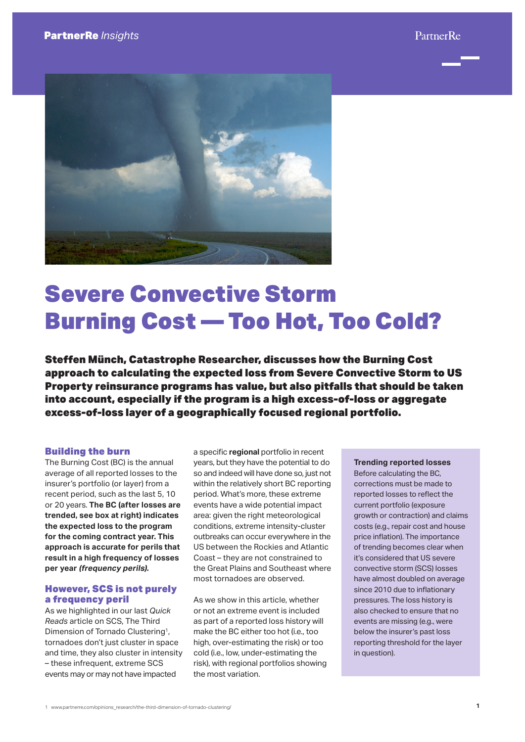

# Severe Convective Storm Burning Cost — Too Hot, Too Cold?

Steffen Münch, Catastrophe Researcher, discusses how the Burning Cost approach to calculating the expected loss from Severe Convective Storm to US Property reinsurance programs has value, but also pitfalls that should be taken into account, especially if the program is a high excess-of-loss or aggregate excess-of-loss layer of a geographically focused regional portfolio.

### Building the burn

The Burning Cost (BC) is the annual average of all reported losses to the insurer's portfolio (or layer) from a recent period, such as the last 5, 10 or 20 years. **The BC (after losses are trended, see box at right) indicates the expected loss to the program for the coming contract year. This approach is accurate for perils that result in a high frequency of losses per year (frequency perils).**

# However, SCS is not purely a frequency peril

As we highlighted in our last *Quick Reads* article on SCS, The Third Dimension of Tornado Clustering<sup>1</sup>, tornadoes don't just cluster in space and time, they also cluster in intensity – these infrequent, extreme SCS events may or may not have impacted

a specific **regional** portfolio in recent years, but they have the potential to do so and indeed will have done so, just not within the relatively short BC reporting period. What's more, these extreme events have a wide potential impact area: given the right meteorological conditions, extreme intensity-cluster outbreaks can occur everywhere in the US between the Rockies and Atlantic Coast – they are not constrained to the Great Plains and Southeast where most tornadoes are observed.

As we show in this article, whether or not an extreme event is included as part of a reported loss history will make the BC either too hot (i.e., too high, over-estimating the risk) or too cold (i.e., low, under-estimating the risk), with regional portfolios showing the most variation.

**Trending reported losses**  Before calculating the BC, corrections must be made to reported losses to reflect the current portfolio (exposure growth or contraction) and claims costs (e.g., repair cost and house price inflation). The importance of trending becomes clear when it's considered that US severe convective storm (SCS) losses have almost doubled on average since 2010 due to inflationary pressures. The loss history is also checked to ensure that no events are missing (e.g., were below the insurer's past loss reporting threshold for the layer in question).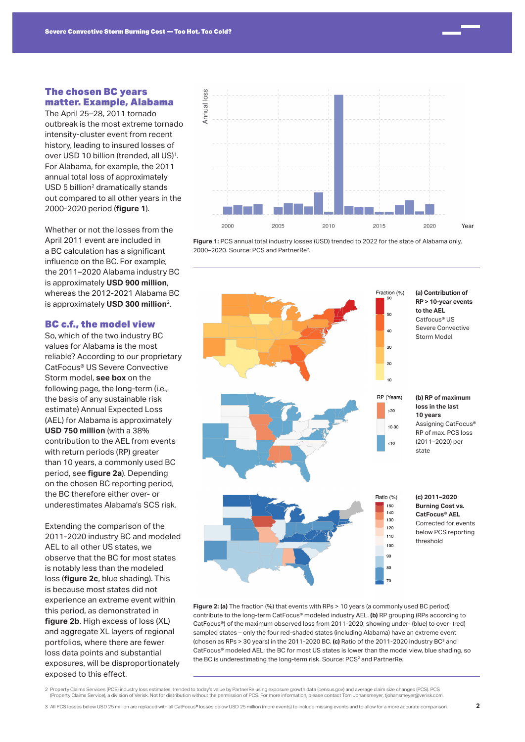# The chosen BC years matter. Example, Alabama

The April 25–28, 2011 tornado outbreak is the most extreme tornado intensity-cluster event from recent history, leading to insured losses of over USD 10 billion (trended, all US)<sup>1</sup>. For Alabama, for example, the 2011 annual total loss of approximately USD 5 billion<sup>2</sup> dramatically stands out compared to all other years in the 2000-2020 period (**figure 1**).

Whether or not the losses from the April 2011 event are included in a BC calculation has a significant influence on the BC. For example, the 2011–2020 Alabama industry BC is approximately **USD 900 million**, whereas the 2012-2021 Alabama BC is approximately **USD 300 million**2.

#### BC c.f., the model view

So, which of the two industry BC values for Alabama is the most reliable? According to our proprietary CatFocus® US Severe Convective Storm model, **see box** on the following page, the long-term (i.e., the basis of any sustainable risk estimate) Annual Expected Loss (AEL) for Alabama is approximately **USD 750 million** (with a 38% contribution to the AEL from events with return periods (RP) greater than 10 years, a commonly used BC period, see **figure 2a**). Depending on the chosen BC reporting period, the BC therefore either over- or underestimates Alabama's SCS risk.

Extending the comparison of the 2011-2020 industry BC and modeled AEL to all other US states, we observe that the BC for most states is notably less than the modeled loss (**figure 2c**, blue shading). This is because most states did not experience an extreme event within this period, as demonstrated in **figure 2b.** High excess of loss (XL) and aggregate XL layers of regional portfolios, where there are fewer loss data points and substantial exposures, will be disproportionately exposed to this effect.



**Figure 1:** PCS annual total industry losses (USD) trended to 2022 for the state of Alabama only, 2000–2020. Source: PCS and PartnerRe<sup>2</sup>.



**Figure 2: (a)** The fraction (%) that events with RPs > 10 years (a commonly used BC period) contribute to the long-term CatFocus® modeled industry AEL. **(b)** RP grouping (RPs according to CatFocus®) of the maximum observed loss from 2011-2020, showing under- (blue) to over- (red) sampled states – only the four red-shaded states (including Alabama) have an extreme event (chosen as RPs > 30 years) in the 2011-2020 BC. **(c)** Ratio of the 2011-2020 industry BC3 and CatFocus® modeled AEL; the BC for most US states is lower than the model view, blue shading, so the BC is underestimating the long-term risk. Source: PCS<sup>2</sup> and PartnerRe.

2 Property Claims Services (PCS) industry loss estimates, trended to today's value by PartnerRe using exposure growth data (census.gov) and average claim size changes (PCS). PCS<br>Property Claims Service), a division of Veri